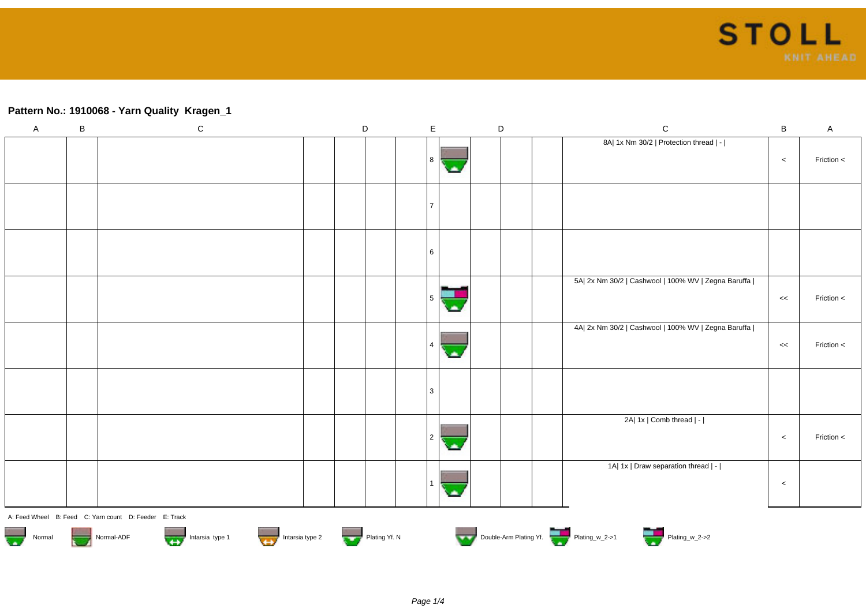## **Pattern No.: 1910068 - Yarn Quality Kragen\_1**

| $\mathsf A$                                                                                                                                                                                                                    | $\sf B$ | ${\bf C}$                                              |  | $\mathsf D$ |  | $\mathsf E$ | $\mathsf D$ |  |  | $\mathsf C$                                         | B     | $\mathsf{A}$ |
|--------------------------------------------------------------------------------------------------------------------------------------------------------------------------------------------------------------------------------|---------|--------------------------------------------------------|--|-------------|--|-------------|-------------|--|--|-----------------------------------------------------|-------|--------------|
|                                                                                                                                                                                                                                |         |                                                        |  |             |  | -8          |             |  |  | 8A  1x Nm 30/2   Protection thread   -              | $\,<$ | Friction <   |
|                                                                                                                                                                                                                                |         |                                                        |  |             |  |             |             |  |  |                                                     |       |              |
|                                                                                                                                                                                                                                |         |                                                        |  |             |  | 6           |             |  |  |                                                     |       |              |
|                                                                                                                                                                                                                                |         |                                                        |  |             |  |             |             |  |  | 5A  2x Nm 30/2   Cashwool   100% WV   Zegna Baruffa | $<<$  | Friction <   |
|                                                                                                                                                                                                                                |         |                                                        |  |             |  |             |             |  |  | 4A  2x Nm 30/2   Cashwool   100% WV   Zegna Baruffa | <<    | Friction <   |
|                                                                                                                                                                                                                                |         |                                                        |  |             |  |             |             |  |  |                                                     |       |              |
|                                                                                                                                                                                                                                |         |                                                        |  |             |  |             |             |  |  | 2A  1x   Comb thread   -                            | $\,<$ | Friction <   |
|                                                                                                                                                                                                                                |         |                                                        |  |             |  |             |             |  |  | 1A  1x   Draw separation thread   -                 | $\,<$ |              |
|                                                                                                                                                                                                                                |         | A: Feed Wheel B: Feed C: Yarn count D: Feeder E: Track |  |             |  |             |             |  |  |                                                     |       |              |
| Normal Normal-ADF Normal-ADF Intarsia type 1 Intarsia type 2 Intarsia type 2 Intarsia type 2 Intarsia type 2 Intarsia type 2 Intarsia type 2 Intarsia type 2 Intarsia type 2 Intarsia type 2 Intarsia type 2 Intarsia type 2 I |         |                                                        |  |             |  |             |             |  |  |                                                     |       |              |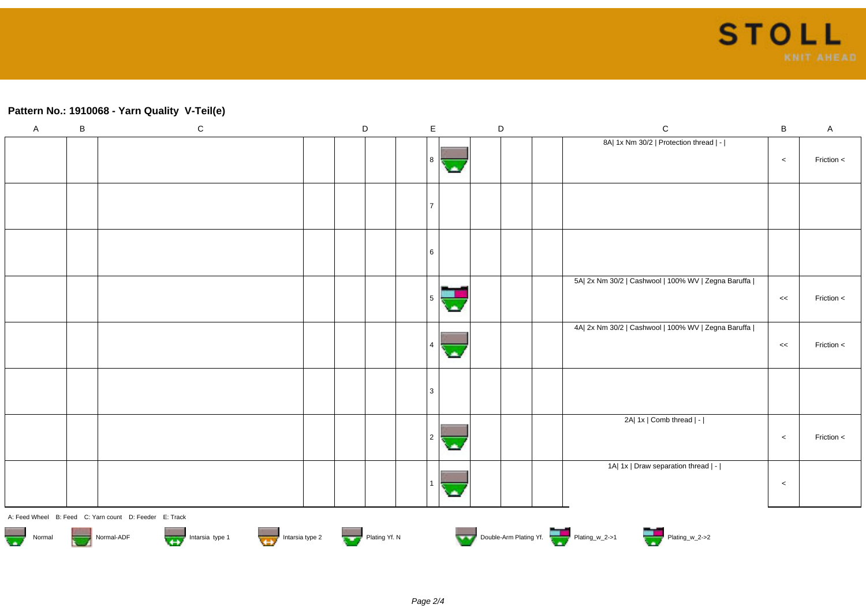## **Pattern No.: 1910068 - Yarn Quality V-Teil(e)**

| $\boldsymbol{\mathsf{A}}$                                                                                 | $\, {\bf B}$                                           | ${\bf C}$ |  | $\mathsf D$ | $\mathsf E$ |  | $\mathsf D$ |  |  | $\mathsf C$                                         | $\sf B$ | $\mathsf{A}$ |
|-----------------------------------------------------------------------------------------------------------|--------------------------------------------------------|-----------|--|-------------|-------------|--|-------------|--|--|-----------------------------------------------------|---------|--------------|
|                                                                                                           |                                                        |           |  |             | 8           |  |             |  |  | 8A  1x Nm 30/2   Protection thread   -              | $\,<$   | Friction <   |
|                                                                                                           |                                                        |           |  |             |             |  |             |  |  |                                                     |         |              |
|                                                                                                           |                                                        |           |  |             | 6           |  |             |  |  |                                                     |         |              |
|                                                                                                           |                                                        |           |  |             |             |  |             |  |  | 5A  2x Nm 30/2   Cashwool   100% WV   Zegna Baruffa | <<      | Friction <   |
|                                                                                                           |                                                        |           |  |             |             |  |             |  |  | 4A  2x Nm 30/2   Cashwool   100% WV   Zegna Baruffa | <<      | Friction <   |
|                                                                                                           |                                                        |           |  |             | 3           |  |             |  |  |                                                     |         |              |
|                                                                                                           |                                                        |           |  |             | 2           |  |             |  |  | 2A  1x   Comb thread   -                            | $\,<$   | Friction <   |
|                                                                                                           |                                                        |           |  |             |             |  |             |  |  | 1A  1x   Draw separation thread   -                 | $\,<$   |              |
|                                                                                                           | A: Feed Wheel B: Feed C: Yarn count D: Feeder E: Track |           |  |             |             |  |             |  |  |                                                     |         |              |
| Double-Arm Plating Yf.<br>Normal Normal-ADF Intarsia type 1 Intarsia type 2 Intarsia type 2 Plating Yf. N |                                                        |           |  |             |             |  |             |  |  |                                                     |         |              |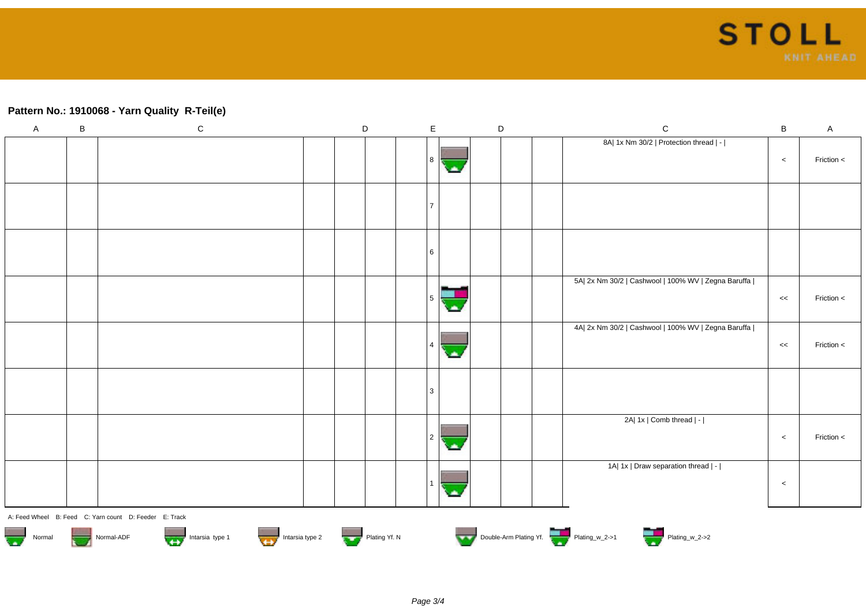## **Pattern No.: 1910068 - Yarn Quality R-Teil(e)**

| $\mathsf A$                                                                                                                                                                                                                                | B | ${\bf C}$                                              |  | $\mathsf D$ |  | $\mathsf E$    |    | $\mathsf D$ |  | $\mathsf C$                                         | B       | $\mathsf A$ |
|--------------------------------------------------------------------------------------------------------------------------------------------------------------------------------------------------------------------------------------------|---|--------------------------------------------------------|--|-------------|--|----------------|----|-------------|--|-----------------------------------------------------|---------|-------------|
|                                                                                                                                                                                                                                            |   |                                                        |  |             |  | 8              |    |             |  | 8A  1x Nm 30/2   Protection thread   -              | $\,<$   | Friction <  |
|                                                                                                                                                                                                                                            |   |                                                        |  |             |  | l 7            |    |             |  |                                                     |         |             |
|                                                                                                                                                                                                                                            |   |                                                        |  |             |  | 6              |    |             |  |                                                     |         |             |
|                                                                                                                                                                                                                                            |   |                                                        |  |             |  | 5 <sup>5</sup> | च. |             |  | 5A  2x Nm 30/2   Cashwool   100% WV   Zegna Baruffa | <<      | Friction <  |
|                                                                                                                                                                                                                                            |   |                                                        |  |             |  | 4              |    |             |  | 4A  2x Nm 30/2   Cashwool   100% WV   Zegna Baruffa | $\,<\,$ | Friction <  |
|                                                                                                                                                                                                                                            |   |                                                        |  |             |  | 3              |    |             |  |                                                     |         |             |
|                                                                                                                                                                                                                                            |   |                                                        |  |             |  | $\sqrt{2}$     |    |             |  | 2A  1x   Comb thread   -                            | $\,<\,$ | Friction <  |
|                                                                                                                                                                                                                                            |   |                                                        |  |             |  |                |    |             |  | 1A  1x   Draw separation thread   -                 | $\,<\,$ |             |
|                                                                                                                                                                                                                                            |   | A: Feed Wheel B: Feed C: Yarn count D: Feeder E: Track |  |             |  |                |    |             |  |                                                     |         |             |
| Normal-ADF Normal-ADF Intarsia type 1 Intarsia type 2 Intarsia type 2 Plating Yf. N<br>Plating Windows 2 Plating Windows Plating Windows 2 Plating Windows Plating Windows 2 Plating Windows 2 Plating Windows 2 Plating Windows<br>Normal |   |                                                        |  |             |  |                |    |             |  |                                                     |         |             |